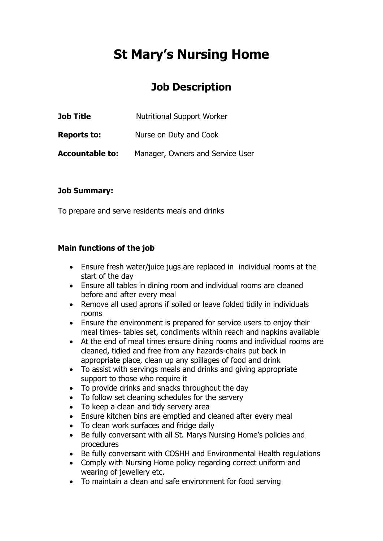# **St Mary's Nursing Home**

# **Job Description**

| Job Title              | <b>Nutritional Support Worker</b> |
|------------------------|-----------------------------------|
| <b>Reports to:</b>     | Nurse on Duty and Cook            |
| <b>Accountable to:</b> | Manager, Owners and Service User  |

#### **Job Summary:**

To prepare and serve residents meals and drinks

#### **Main functions of the job**

- Ensure fresh water/juice jugs are replaced in individual rooms at the start of the day
- Ensure all tables in dining room and individual rooms are cleaned before and after every meal
- Remove all used aprons if soiled or leave folded tidily in individuals rooms
- Ensure the environment is prepared for service users to enjoy their meal times- tables set, condiments within reach and napkins available
- At the end of meal times ensure dining rooms and individual rooms are cleaned, tidied and free from any hazards-chairs put back in appropriate place, clean up any spillages of food and drink
- To assist with servings meals and drinks and giving appropriate support to those who require it
- To provide drinks and snacks throughout the day
- To follow set cleaning schedules for the servery
- To keep a clean and tidy servery area
- Ensure kitchen bins are emptied and cleaned after every meal
- To clean work surfaces and fridge daily
- Be fully conversant with all St. Marys Nursing Home's policies and procedures
- Be fully conversant with COSHH and Environmental Health regulations
- Comply with Nursing Home policy regarding correct uniform and wearing of jewellery etc.
- To maintain a clean and safe environment for food serving